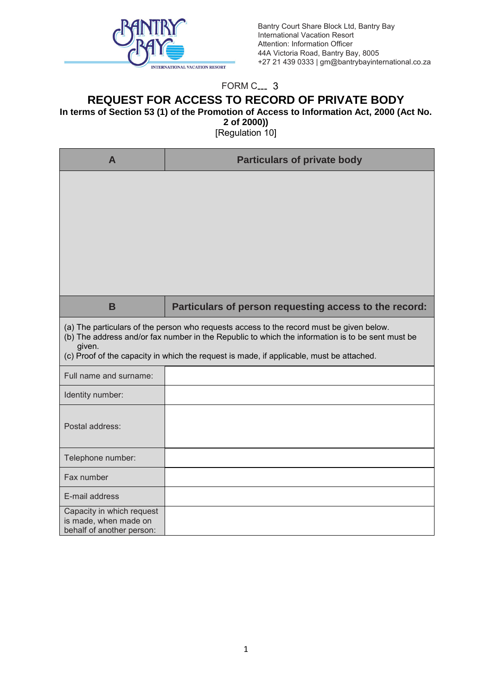

Bantry Court Share Block Ltd, Bantry Bay International Vacation Resort Attention: Information Officer 44A Victoria Road, Bantry Bay, 8005 +27 21 439 0333 | gm@bantrybayinternational.co.za

## FORM C<sub>---</sub> 3

## **REQUEST FOR ACCESS TO RECORD OF PRIVATE BODY**

**In terms of Section 53 (1) of the Promotion of Access to Information Act, 2000 (Act No.** 

**2 of 2000))** 

[Regulation 10]

| A                                                                               | <b>Particulars of private body</b>                                                                                                                                                                                                                                                       |
|---------------------------------------------------------------------------------|------------------------------------------------------------------------------------------------------------------------------------------------------------------------------------------------------------------------------------------------------------------------------------------|
|                                                                                 |                                                                                                                                                                                                                                                                                          |
| B                                                                               | Particulars of person requesting access to the record:                                                                                                                                                                                                                                   |
| given.                                                                          | (a) The particulars of the person who requests access to the record must be given below.<br>(b) The address and/or fax number in the Republic to which the information is to be sent must be<br>(c) Proof of the capacity in which the request is made, if applicable, must be attached. |
| Full name and surname:                                                          |                                                                                                                                                                                                                                                                                          |
| Identity number:                                                                |                                                                                                                                                                                                                                                                                          |
| Postal address:                                                                 |                                                                                                                                                                                                                                                                                          |
| Telephone number:                                                               |                                                                                                                                                                                                                                                                                          |
| Fax number                                                                      |                                                                                                                                                                                                                                                                                          |
| E-mail address                                                                  |                                                                                                                                                                                                                                                                                          |
| Capacity in which request<br>is made, when made on<br>behalf of another person: |                                                                                                                                                                                                                                                                                          |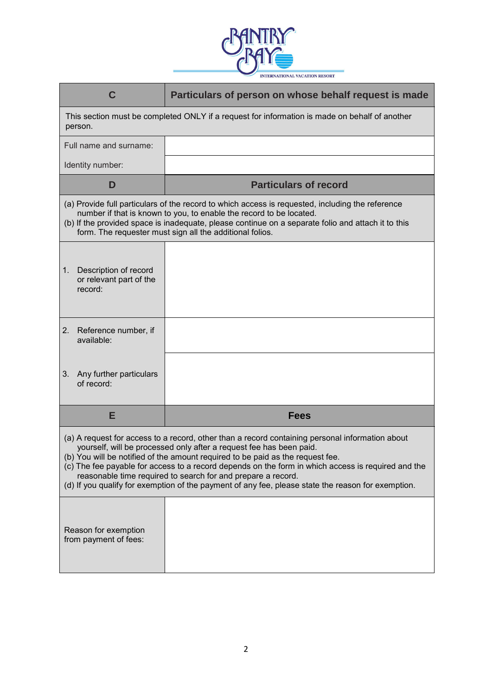

| C                                                                                                                                                                                                                                                                                                                                                                                                                                                                                                                                    | Particulars of person on whose behalf request is made |  |  |  |  |
|--------------------------------------------------------------------------------------------------------------------------------------------------------------------------------------------------------------------------------------------------------------------------------------------------------------------------------------------------------------------------------------------------------------------------------------------------------------------------------------------------------------------------------------|-------------------------------------------------------|--|--|--|--|
| This section must be completed ONLY if a request for information is made on behalf of another<br>person.                                                                                                                                                                                                                                                                                                                                                                                                                             |                                                       |  |  |  |  |
| Full name and surname:                                                                                                                                                                                                                                                                                                                                                                                                                                                                                                               |                                                       |  |  |  |  |
| Identity number:                                                                                                                                                                                                                                                                                                                                                                                                                                                                                                                     |                                                       |  |  |  |  |
| D                                                                                                                                                                                                                                                                                                                                                                                                                                                                                                                                    | <b>Particulars of record</b>                          |  |  |  |  |
| (a) Provide full particulars of the record to which access is requested, including the reference<br>number if that is known to you, to enable the record to be located.<br>(b) If the provided space is inadequate, please continue on a separate folio and attach it to this<br>form. The requester must sign all the additional folios.                                                                                                                                                                                            |                                                       |  |  |  |  |
| Description of record<br>1.<br>or relevant part of the<br>record:                                                                                                                                                                                                                                                                                                                                                                                                                                                                    |                                                       |  |  |  |  |
| Reference number, if<br>2.<br>available:                                                                                                                                                                                                                                                                                                                                                                                                                                                                                             |                                                       |  |  |  |  |
| 3.<br>Any further particulars<br>of record:                                                                                                                                                                                                                                                                                                                                                                                                                                                                                          |                                                       |  |  |  |  |
| Е                                                                                                                                                                                                                                                                                                                                                                                                                                                                                                                                    | <b>Fees</b>                                           |  |  |  |  |
| (a) A request for access to a record, other than a record containing personal information about<br>yourself, will be processed only after a request fee has been paid.<br>(b) You will be notified of the amount required to be paid as the request fee.<br>(c) The fee payable for access to a record depends on the form in which access is required and the<br>reasonable time required to search for and prepare a record.<br>(d) If you qualify for exemption of the payment of any fee, please state the reason for exemption. |                                                       |  |  |  |  |
| Reason for exemption<br>from payment of fees:                                                                                                                                                                                                                                                                                                                                                                                                                                                                                        |                                                       |  |  |  |  |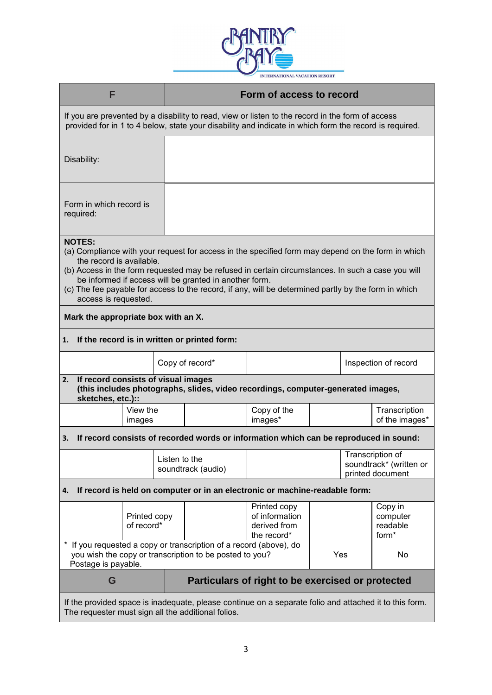

| F                                                                                                                                                                                                          |                                                                                                                                              |               |                                                                                                                             | Form of access to record                                                                                                                                                                                                                                                                                       |  |                                                                 |                                          |
|------------------------------------------------------------------------------------------------------------------------------------------------------------------------------------------------------------|----------------------------------------------------------------------------------------------------------------------------------------------|---------------|-----------------------------------------------------------------------------------------------------------------------------|----------------------------------------------------------------------------------------------------------------------------------------------------------------------------------------------------------------------------------------------------------------------------------------------------------------|--|-----------------------------------------------------------------|------------------------------------------|
| If you are prevented by a disability to read, view or listen to the record in the form of access<br>provided for in 1 to 4 below, state your disability and indicate in which form the record is required. |                                                                                                                                              |               |                                                                                                                             |                                                                                                                                                                                                                                                                                                                |  |                                                                 |                                          |
| Disability:                                                                                                                                                                                                |                                                                                                                                              |               |                                                                                                                             |                                                                                                                                                                                                                                                                                                                |  |                                                                 |                                          |
| Form in which record is<br>required:                                                                                                                                                                       |                                                                                                                                              |               |                                                                                                                             |                                                                                                                                                                                                                                                                                                                |  |                                                                 |                                          |
| <b>NOTES:</b><br>the record is available.<br>access is requested.<br>Mark the appropriate box with an X.                                                                                                   |                                                                                                                                              |               | be informed if access will be granted in another form.                                                                      | (a) Compliance with your request for access in the specified form may depend on the form in which<br>(b) Access in the form requested may be refused in certain circumstances. In such a case you will<br>(c) The fee payable for access to the record, if any, will be determined partly by the form in which |  |                                                                 |                                          |
| 1.                                                                                                                                                                                                         |                                                                                                                                              |               | If the record is in written or printed form:                                                                                |                                                                                                                                                                                                                                                                                                                |  |                                                                 |                                          |
|                                                                                                                                                                                                            |                                                                                                                                              |               | Copy of record*                                                                                                             |                                                                                                                                                                                                                                                                                                                |  |                                                                 | Inspection of record                     |
| 2.                                                                                                                                                                                                         | If record consists of visual images<br>(this includes photographs, slides, video recordings, computer-generated images,<br>sketches, etc.):: |               |                                                                                                                             |                                                                                                                                                                                                                                                                                                                |  |                                                                 |                                          |
|                                                                                                                                                                                                            | View the<br>images                                                                                                                           |               |                                                                                                                             | Copy of the<br>images*                                                                                                                                                                                                                                                                                         |  |                                                                 | Transcription<br>of the images*          |
| З.                                                                                                                                                                                                         |                                                                                                                                              |               |                                                                                                                             | If record consists of recorded words or information which can be reproduced in sound:                                                                                                                                                                                                                          |  |                                                                 |                                          |
|                                                                                                                                                                                                            |                                                                                                                                              | Listen to the | soundtrack (audio)                                                                                                          |                                                                                                                                                                                                                                                                                                                |  | Transcription of<br>soundtrack* (written or<br>printed document |                                          |
| 4.                                                                                                                                                                                                         |                                                                                                                                              |               |                                                                                                                             | If record is held on computer or in an electronic or machine-readable form:                                                                                                                                                                                                                                    |  |                                                                 |                                          |
|                                                                                                                                                                                                            | Printed copy<br>of record*                                                                                                                   |               |                                                                                                                             | Printed copy<br>of information<br>derived from<br>the record*                                                                                                                                                                                                                                                  |  |                                                                 | Copy in<br>computer<br>readable<br>form* |
| Postage is payable.                                                                                                                                                                                        |                                                                                                                                              |               | If you requested a copy or transcription of a record (above), do<br>you wish the copy or transcription to be posted to you? |                                                                                                                                                                                                                                                                                                                |  | Yes                                                             | No.                                      |
| G                                                                                                                                                                                                          |                                                                                                                                              |               |                                                                                                                             | Particulars of right to be exercised or protected                                                                                                                                                                                                                                                              |  |                                                                 |                                          |
| The requester must sign all the additional folios.                                                                                                                                                         |                                                                                                                                              |               |                                                                                                                             | If the provided space is inadequate, please continue on a separate folio and attached it to this form.                                                                                                                                                                                                         |  |                                                                 |                                          |